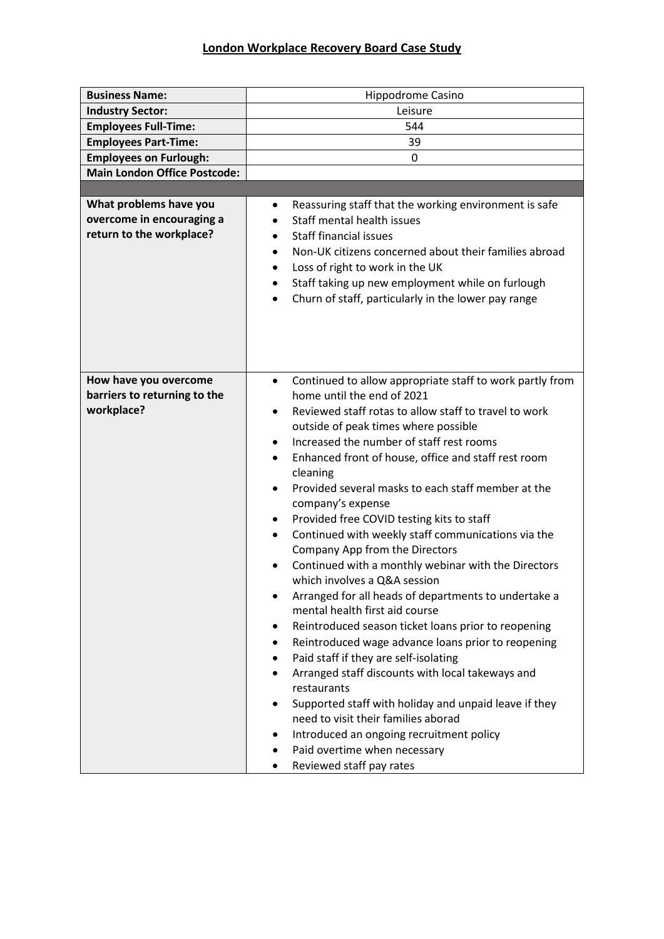## **London Workplace Recovery Board Case Study**

| <b>Business Name:</b>                                                           | <b>Hippodrome Casino</b>                                                                                                                                                                                                                                                                                                                                                                                                                                                                                                                                                                                                                                                                                                                                                                                                                                                                                                                                                                                                                                                                                                                                                                                                                                                                            |
|---------------------------------------------------------------------------------|-----------------------------------------------------------------------------------------------------------------------------------------------------------------------------------------------------------------------------------------------------------------------------------------------------------------------------------------------------------------------------------------------------------------------------------------------------------------------------------------------------------------------------------------------------------------------------------------------------------------------------------------------------------------------------------------------------------------------------------------------------------------------------------------------------------------------------------------------------------------------------------------------------------------------------------------------------------------------------------------------------------------------------------------------------------------------------------------------------------------------------------------------------------------------------------------------------------------------------------------------------------------------------------------------------|
| <b>Industry Sector:</b>                                                         | Leisure                                                                                                                                                                                                                                                                                                                                                                                                                                                                                                                                                                                                                                                                                                                                                                                                                                                                                                                                                                                                                                                                                                                                                                                                                                                                                             |
| <b>Employees Full-Time:</b>                                                     | 544                                                                                                                                                                                                                                                                                                                                                                                                                                                                                                                                                                                                                                                                                                                                                                                                                                                                                                                                                                                                                                                                                                                                                                                                                                                                                                 |
| <b>Employees Part-Time:</b>                                                     | 39                                                                                                                                                                                                                                                                                                                                                                                                                                                                                                                                                                                                                                                                                                                                                                                                                                                                                                                                                                                                                                                                                                                                                                                                                                                                                                  |
| <b>Employees on Furlough:</b>                                                   | 0                                                                                                                                                                                                                                                                                                                                                                                                                                                                                                                                                                                                                                                                                                                                                                                                                                                                                                                                                                                                                                                                                                                                                                                                                                                                                                   |
| <b>Main London Office Postcode:</b>                                             |                                                                                                                                                                                                                                                                                                                                                                                                                                                                                                                                                                                                                                                                                                                                                                                                                                                                                                                                                                                                                                                                                                                                                                                                                                                                                                     |
|                                                                                 |                                                                                                                                                                                                                                                                                                                                                                                                                                                                                                                                                                                                                                                                                                                                                                                                                                                                                                                                                                                                                                                                                                                                                                                                                                                                                                     |
| What problems have you<br>overcome in encouraging a<br>return to the workplace? | Reassuring staff that the working environment is safe<br>$\bullet$<br>Staff mental health issues<br><b>Staff financial issues</b><br>$\bullet$<br>Non-UK citizens concerned about their families abroad<br>$\bullet$<br>Loss of right to work in the UK<br>$\bullet$<br>Staff taking up new employment while on furlough<br>٠<br>Churn of staff, particularly in the lower pay range<br>$\bullet$                                                                                                                                                                                                                                                                                                                                                                                                                                                                                                                                                                                                                                                                                                                                                                                                                                                                                                   |
| How have you overcome<br>barriers to returning to the<br>workplace?             | Continued to allow appropriate staff to work partly from<br>$\bullet$<br>home until the end of 2021<br>Reviewed staff rotas to allow staff to travel to work<br>$\bullet$<br>outside of peak times where possible<br>Increased the number of staff rest rooms<br>$\bullet$<br>Enhanced front of house, office and staff rest room<br>$\bullet$<br>cleaning<br>Provided several masks to each staff member at the<br>$\bullet$<br>company's expense<br>Provided free COVID testing kits to staff<br>$\bullet$<br>Continued with weekly staff communications via the<br>$\bullet$<br>Company App from the Directors<br>Continued with a monthly webinar with the Directors<br>$\bullet$<br>which involves a Q&A session<br>Arranged for all heads of departments to undertake a<br>mental health first aid course<br>Reintroduced season ticket loans prior to reopening<br>$\bullet$<br>Reintroduced wage advance loans prior to reopening<br>٠<br>Paid staff if they are self-isolating<br>٠<br>Arranged staff discounts with local takeways and<br>$\bullet$<br>restaurants<br>Supported staff with holiday and unpaid leave if they<br>need to visit their families aborad<br>Introduced an ongoing recruitment policy<br>٠<br>Paid overtime when necessary<br>٠<br>Reviewed staff pay rates<br>٠ |